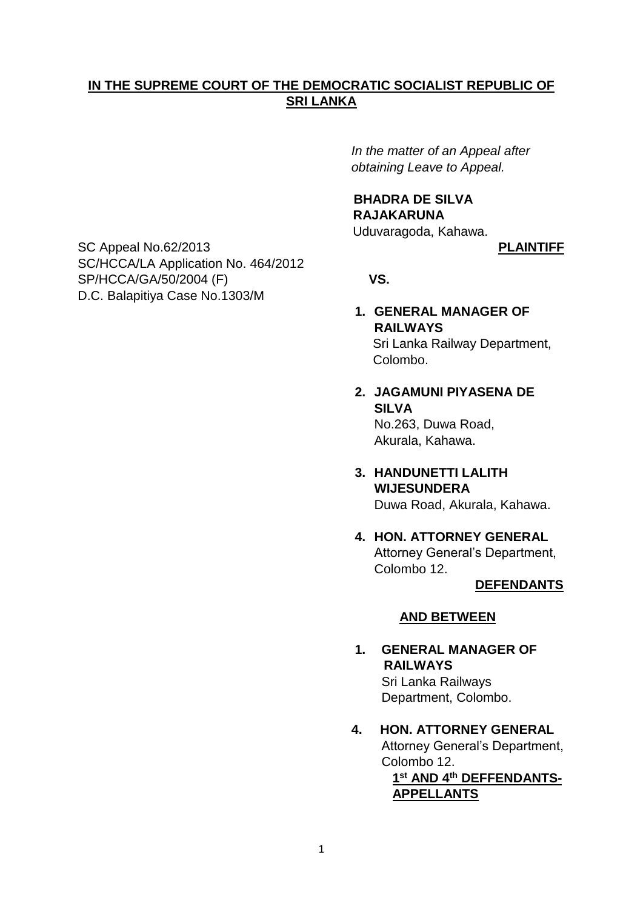### **IN THE SUPREME COURT OF THE DEMOCRATIC SOCIALIST REPUBLIC OF SRI LANKA**

 *In the matter of an Appeal after obtaining Leave to Appeal.* 

**BHADRA DE SILVA RAJAKARUNA**

Uduvaragoda, Kahawa.

- **1. GENERAL MANAGER OF RAILWAYS** Sri Lanka Railway Department, Colombo.
- **2. JAGAMUNI PIYASENA DE SILVA** No.263, Duwa Road, Akurala, Kahawa.
- **3. HANDUNETTI LALITH WIJESUNDERA** Duwa Road, Akurala, Kahawa.
- **4. HON. ATTORNEY GENERAL** Attorney General's Department, Colombo 12.

### **DEFENDANTS**

#### **AND BETWEEN**

**1. GENERAL MANAGER OF RAILWAYS** Sri Lanka Railways

Department, Colombo.

 **4. HON. ATTORNEY GENERAL** Attorney General's Department, Colombo 12.  **1 st AND 4th DEFFENDANTS- APPELLANTS**

SC Appeal No.62/2013 **PLAINTIFF**  SC/HCCA/LA Application No. 464/2012 SP/HCCA/GA/50/2004 (F) **VS.** D.C. Balapitiya Case No.1303/M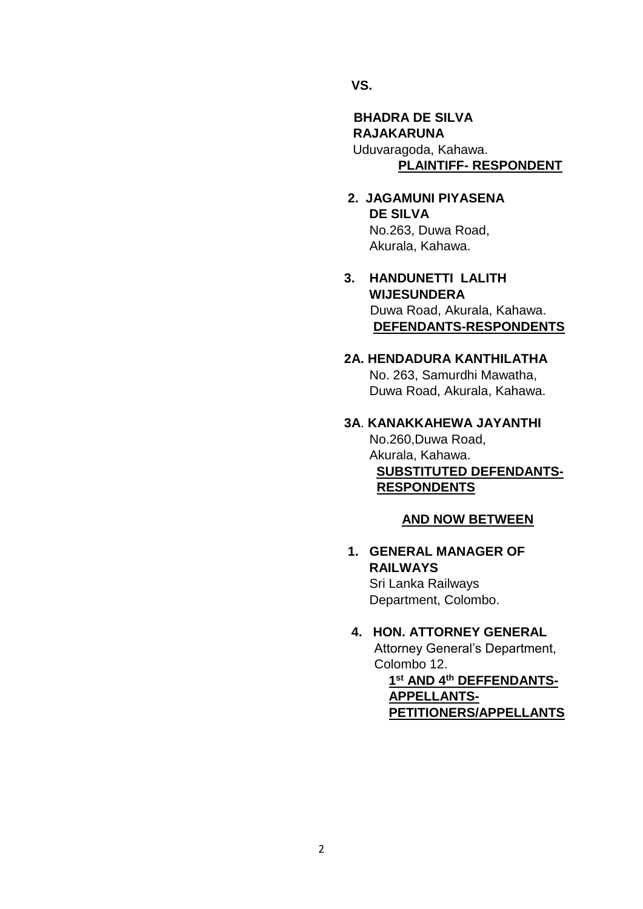**VS.**

 **BHADRA DE SILVA RAJAKARUNA** Uduvaragoda, Kahawa. **PLAINTIFF- RESPONDENT**

## **2. JAGAMUNI PIYASENA DE SILVA**

 No.263, Duwa Road, Akurala, Kahawa.

### **3. HANDUNETTI LALITH WIJESUNDERA** Duwa Road, Akurala, Kahawa. **DEFENDANTS-RESPONDENTS**

### **2A. HENDADURA KANTHILATHA**

No. 263, Samurdhi Mawatha, Duwa Road, Akurala, Kahawa.

# **3A**. **KANAKKAHEWA JAYANTHI** No.260,Duwa Road,

 Akurala, Kahawa. **SUBSTITUTED DEFENDANTS- RESPONDENTS**

### **AND NOW BETWEEN**

### **1. GENERAL MANAGER OF RAILWAYS** Sri Lanka Railways Department, Colombo.

### **4. HON. ATTORNEY GENERAL**

Attorney General's Department, Colombo 12.  **1 st AND 4th DEFFENDANTS- APPELLANTS- PETITIONERS/APPELLANTS**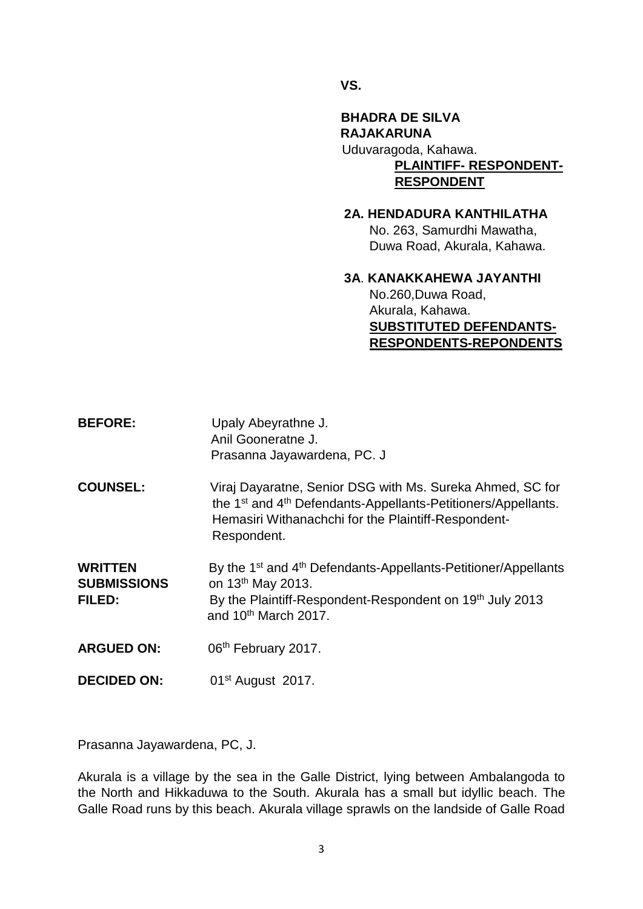**VS.**

 **BHADRA DE SILVA RAJAKARUNA** Uduvaragoda, Kahawa. **PLAINTIFF- RESPONDENT- RESPONDENT** 

### **2A. HENDADURA KANTHILATHA** No. 263, Samurdhi Mawatha, Duwa Road, Akurala, Kahawa.

 **3A**. **KANAKKAHEWA JAYANTHI** No.260,Duwa Road, Akurala, Kahawa. **SUBSTITUTED DEFENDANTS-RESPONDENTS-REPONDENTS**

| <b>BEFORE:</b>                                 | Upaly Abeyrathne J.<br>Anil Gooneratne J.<br>Prasanna Jayawardena, PC. J                                                                                                                                                 |
|------------------------------------------------|--------------------------------------------------------------------------------------------------------------------------------------------------------------------------------------------------------------------------|
| <b>COUNSEL:</b>                                | Viraj Dayaratne, Senior DSG with Ms. Sureka Ahmed, SC for<br>the 1 <sup>st</sup> and 4 <sup>th</sup> Defendants-Appellants-Petitioners/Appellants.<br>Hemasiri Withanachchi for the Plaintiff-Respondent-<br>Respondent. |
| <b>WRITTEN</b><br><b>SUBMISSIONS</b><br>FILED: | By the 1 <sup>st</sup> and 4 <sup>th</sup> Defendants-Appellants-Petitioner/Appellants<br>on 13 <sup>th</sup> May 2013.<br>By the Plaintiff-Respondent-Respondent on 19th July 2013<br>and 10 <sup>th</sup> March 2017.  |
| <b>ARGUED ON:</b>                              | 06th February 2017.                                                                                                                                                                                                      |
| <b>DECIDED ON:</b>                             | $01st$ August 2017.                                                                                                                                                                                                      |

Prasanna Jayawardena, PC, J.

Akurala is a village by the sea in the Galle District, lying between Ambalangoda to the North and Hikkaduwa to the South. Akurala has a small but idyllic beach. The Galle Road runs by this beach. Akurala village sprawls on the landside of Galle Road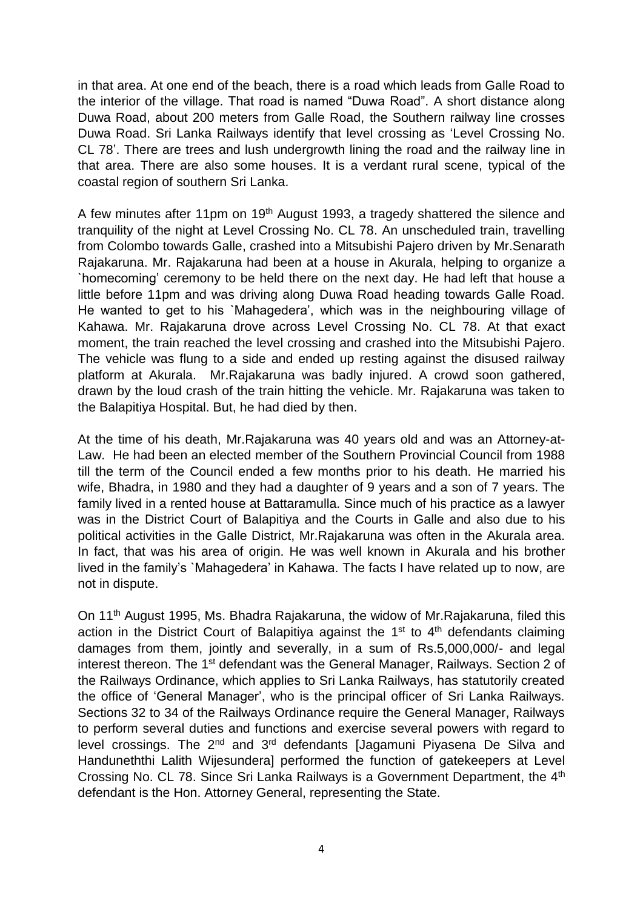in that area. At one end of the beach, there is a road which leads from Galle Road to the interior of the village. That road is named "Duwa Road". A short distance along Duwa Road, about 200 meters from Galle Road, the Southern railway line crosses Duwa Road. Sri Lanka Railways identify that level crossing as 'Level Crossing No. CL 78'. There are trees and lush undergrowth lining the road and the railway line in that area. There are also some houses. It is a verdant rural scene, typical of the coastal region of southern Sri Lanka.

A few minutes after 11pm on 19<sup>th</sup> August 1993, a tragedy shattered the silence and tranquility of the night at Level Crossing No. CL 78. An unscheduled train, travelling from Colombo towards Galle, crashed into a Mitsubishi Pajero driven by Mr.Senarath Rajakaruna. Mr. Rajakaruna had been at a house in Akurala, helping to organize a `homecoming' ceremony to be held there on the next day. He had left that house a little before 11pm and was driving along Duwa Road heading towards Galle Road. He wanted to get to his `Mahagedera', which was in the neighbouring village of Kahawa. Mr. Rajakaruna drove across Level Crossing No. CL 78. At that exact moment, the train reached the level crossing and crashed into the Mitsubishi Pajero. The vehicle was flung to a side and ended up resting against the disused railway platform at Akurala. Mr.Rajakaruna was badly injured. A crowd soon gathered, drawn by the loud crash of the train hitting the vehicle. Mr. Rajakaruna was taken to the Balapitiya Hospital. But, he had died by then.

At the time of his death, Mr.Rajakaruna was 40 years old and was an Attorney-at-Law. He had been an elected member of the Southern Provincial Council from 1988 till the term of the Council ended a few months prior to his death. He married his wife, Bhadra, in 1980 and they had a daughter of 9 years and a son of 7 years. The family lived in a rented house at Battaramulla. Since much of his practice as a lawyer was in the District Court of Balapitiya and the Courts in Galle and also due to his political activities in the Galle District, Mr.Rajakaruna was often in the Akurala area. In fact, that was his area of origin. He was well known in Akurala and his brother lived in the family's `Mahagedera' in Kahawa. The facts I have related up to now, are not in dispute.

On 11<sup>th</sup> August 1995, Ms. Bhadra Rajakaruna, the widow of Mr. Rajakaruna, filed this action in the District Court of Balapitiya against the  $1<sup>st</sup>$  to  $4<sup>th</sup>$  defendants claiming damages from them, jointly and severally, in a sum of Rs.5,000,000/- and legal interest thereon. The 1<sup>st</sup> defendant was the General Manager, Railways. Section 2 of the Railways Ordinance, which applies to Sri Lanka Railways, has statutorily created the office of 'General Manager', who is the principal officer of Sri Lanka Railways. Sections 32 to 34 of the Railways Ordinance require the General Manager, Railways to perform several duties and functions and exercise several powers with regard to level crossings. The 2<sup>nd</sup> and 3<sup>rd</sup> defendants [Jagamuni Piyasena De Silva and Handuneththi Lalith Wijesundera] performed the function of gatekeepers at Level Crossing No. CL 78. Since Sri Lanka Railways is a Government Department, the 4th defendant is the Hon. Attorney General, representing the State.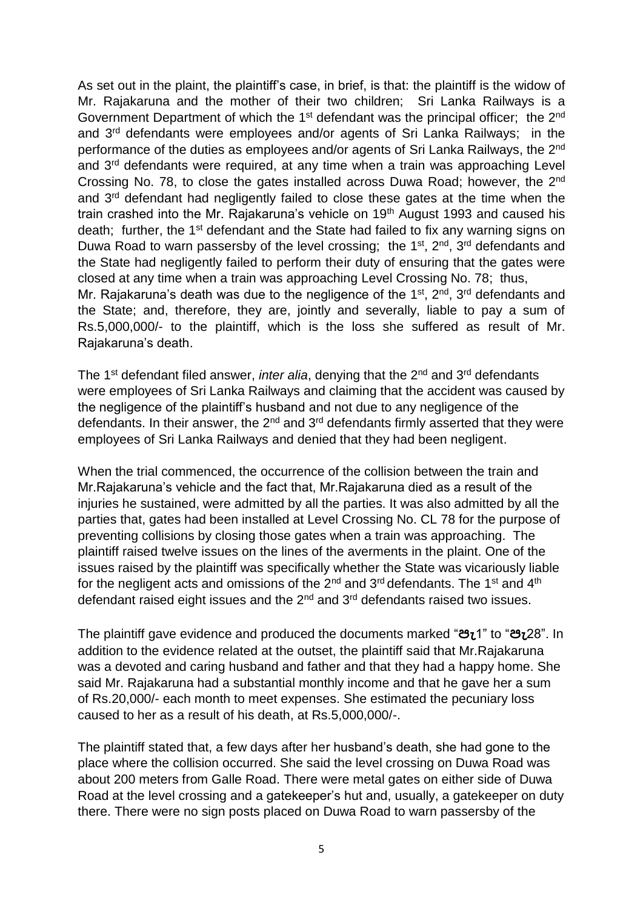As set out in the plaint, the plaintiff's case, in brief, is that: the plaintiff is the widow of Mr. Rajakaruna and the mother of their two children; Sri Lanka Railways is a Government Department of which the 1<sup>st</sup> defendant was the principal officer; the 2<sup>nd</sup> and 3rd defendants were employees and/or agents of Sri Lanka Railways; in the performance of the duties as employees and/or agents of Sri Lanka Railways, the 2<sup>nd</sup> and 3<sup>rd</sup> defendants were required, at any time when a train was approaching Level Crossing No. 78, to close the gates installed across Duwa Road; however, the 2nd and 3rd defendant had negligently failed to close these gates at the time when the train crashed into the Mr. Rajakaruna's vehicle on 19<sup>th</sup> August 1993 and caused his death; further, the 1<sup>st</sup> defendant and the State had failed to fix any warning signs on Duwa Road to warn passersby of the level crossing; the 1<sup>st</sup>, 2<sup>nd</sup>, 3<sup>rd</sup> defendants and the State had negligently failed to perform their duty of ensuring that the gates were closed at any time when a train was approaching Level Crossing No. 78; thus, Mr. Rajakaruna's death was due to the negligence of the 1<sup>st</sup>, 2<sup>nd</sup>, 3<sup>rd</sup> defendants and the State; and, therefore, they are, jointly and severally, liable to pay a sum of Rs.5,000,000/- to the plaintiff, which is the loss she suffered as result of Mr. Rajakaruna's death.

The 1<sup>st</sup> defendant filed answer, *inter alia*, denying that the 2<sup>nd</sup> and 3<sup>rd</sup> defendants were employees of Sri Lanka Railways and claiming that the accident was caused by the negligence of the plaintiff's husband and not due to any negligence of the defendants. In their answer, the  $2^{nd}$  and  $3^{rd}$  defendants firmly asserted that they were employees of Sri Lanka Railways and denied that they had been negligent.

When the trial commenced, the occurrence of the collision between the train and Mr.Rajakaruna's vehicle and the fact that, Mr.Rajakaruna died as a result of the injuries he sustained, were admitted by all the parties. It was also admitted by all the parties that, gates had been installed at Level Crossing No. CL 78 for the purpose of preventing collisions by closing those gates when a train was approaching. The plaintiff raised twelve issues on the lines of the averments in the plaint. One of the issues raised by the plaintiff was specifically whether the State was vicariously liable for the negligent acts and omissions of the  $2<sup>nd</sup>$  and  $3<sup>rd</sup>$  defendants. The 1<sup>st</sup> and  $4<sup>th</sup>$ defendant raised eight issues and the 2<sup>nd</sup> and 3<sup>rd</sup> defendants raised two issues.

The plaintiff gave evidence and produced the documents marked "**පැ**1" to "**පැ**28". In addition to the evidence related at the outset, the plaintiff said that Mr.Rajakaruna was a devoted and caring husband and father and that they had a happy home. She said Mr. Rajakaruna had a substantial monthly income and that he gave her a sum of Rs.20,000/- each month to meet expenses. She estimated the pecuniary loss caused to her as a result of his death, at Rs.5,000,000/-.

The plaintiff stated that, a few days after her husband's death, she had gone to the place where the collision occurred. She said the level crossing on Duwa Road was about 200 meters from Galle Road. There were metal gates on either side of Duwa Road at the level crossing and a gatekeeper's hut and, usually, a gatekeeper on duty there. There were no sign posts placed on Duwa Road to warn passersby of the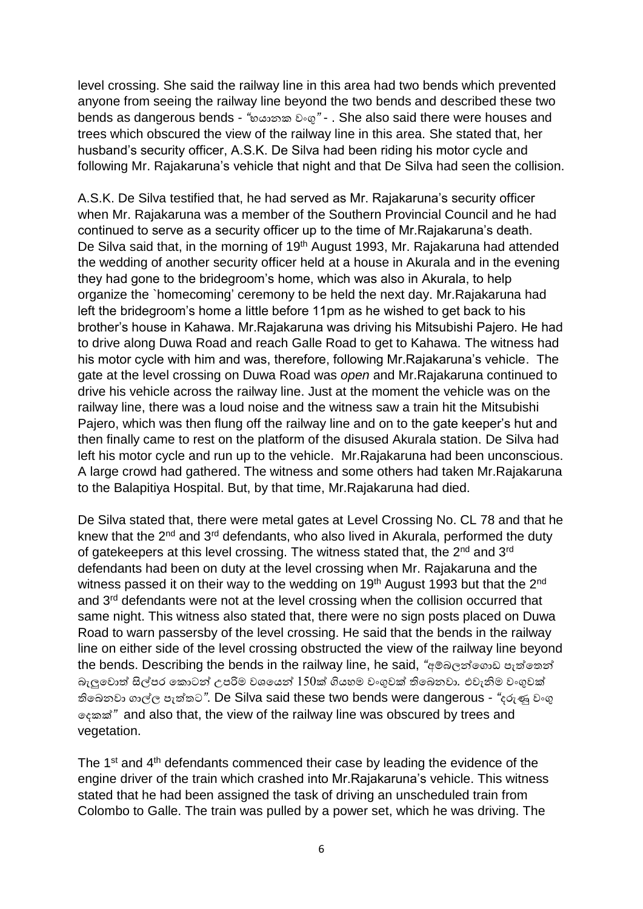level crossing. She said the railway line in this area had two bends which prevented anyone from seeing the railway line beyond the two bends and described these two bends as dangerous bends - *"*භයානක වංගු*"* - . She also said there were houses and trees which obscured the view of the railway line in this area. She stated that, her husband's security officer, A.S.K. De Silva had been riding his motor cycle and following Mr. Rajakaruna's vehicle that night and that De Silva had seen the collision.

A.S.K. De Silva testified that, he had served as Mr. Rajakaruna's security officer when Mr. Rajakaruna was a member of the Southern Provincial Council and he had continued to serve as a security officer up to the time of Mr.Rajakaruna's death. De Silva said that, in the morning of 19<sup>th</sup> August 1993, Mr. Rajakaruna had attended the wedding of another security officer held at a house in Akurala and in the evening they had gone to the bridegroom's home, which was also in Akurala, to help organize the `homecoming' ceremony to be held the next day. Mr.Rajakaruna had left the bridegroom's home a little before 11pm as he wished to get back to his brother's house in Kahawa. Mr.Rajakaruna was driving his Mitsubishi Pajero. He had to drive along Duwa Road and reach Galle Road to get to Kahawa. The witness had his motor cycle with him and was, therefore, following Mr.Rajakaruna's vehicle. The gate at the level crossing on Duwa Road was *open* and Mr.Rajakaruna continued to drive his vehicle across the railway line. Just at the moment the vehicle was on the railway line, there was a loud noise and the witness saw a train hit the Mitsubishi Pajero, which was then flung off the railway line and on to the gate keeper's hut and then finally came to rest on the platform of the disused Akurala station. De Silva had left his motor cycle and run up to the vehicle. Mr.Rajakaruna had been unconscious. A large crowd had gathered. The witness and some others had taken Mr.Rajakaruna to the Balapitiya Hospital. But, by that time, Mr.Rajakaruna had died.

De Silva stated that, there were metal gates at Level Crossing No. CL 78 and that he knew that the  $2<sup>nd</sup>$  and  $3<sup>rd</sup>$  defendants, who also lived in Akurala, performed the duty of gatekeepers at this level crossing. The witness stated that, the 2<sup>nd</sup> and 3<sup>rd</sup> defendants had been on duty at the level crossing when Mr. Rajakaruna and the witness passed it on their way to the wedding on 19<sup>th</sup> August 1993 but that the 2<sup>nd</sup> and 3rd defendants were not at the level crossing when the collision occurred that same night. This witness also stated that, there were no sign posts placed on Duwa Road to warn passersby of the level crossing. He said that the bends in the railway line on either side of the level crossing obstructed the view of the railway line beyond the bends. Describing the bends in the railway line, he said, *"අම්බලන්ගොඩ පැත්තෙන්* බැලු්වාත් සිල්පර ්කාටන උපරිම වශ්යන 150ක් ගියහම වංගුවක් ති්බනවා*.* එවැනිම වංගුවක් ති්බනවා ගාල්ල පැත්ෙට*"*. De Silva said these two bends were dangerous - *"*දරුණු වංගු ්දකක්*"* and also that, the view of the railway line was obscured by trees and vegetation.

The 1<sup>st</sup> and 4<sup>th</sup> defendants commenced their case by leading the evidence of the engine driver of the train which crashed into Mr.Rajakaruna's vehicle. This witness stated that he had been assigned the task of driving an unscheduled train from Colombo to Galle. The train was pulled by a power set, which he was driving. The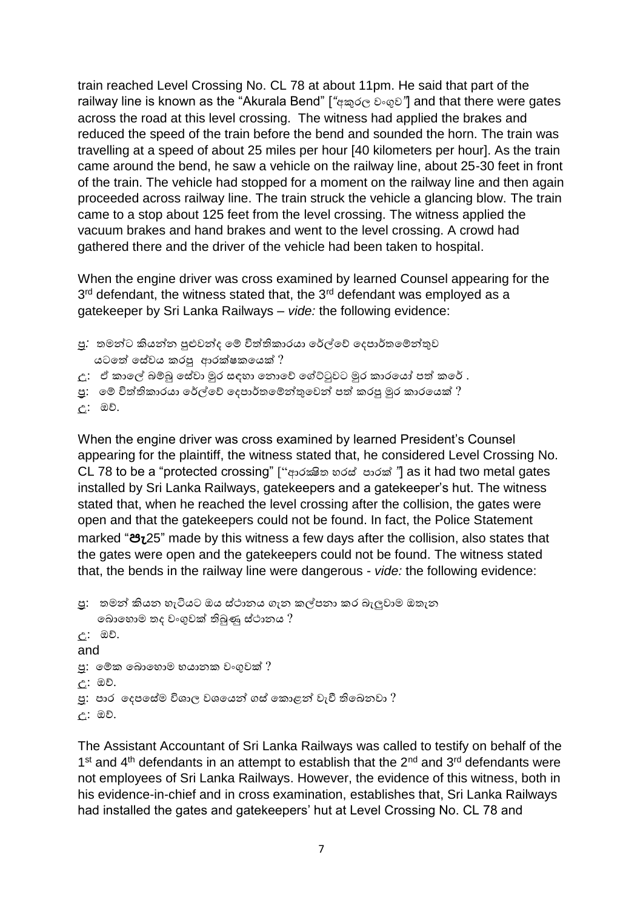train reached Level Crossing No. CL 78 at about 11pm. He said that part of the railway line is known as the "Akurala Bend" [*"*අකුරල වංගුව*"*] and that there were gates across the road at this level crossing. The witness had applied the brakes and reduced the speed of the train before the bend and sounded the horn. The train was travelling at a speed of about 25 miles per hour [40 kilometers per hour]. As the train came around the bend, he saw a vehicle on the railway line, about 25-30 feet in front of the train. The vehicle had stopped for a moment on the railway line and then again proceeded across railway line. The train struck the vehicle a glancing blow. The train came to a stop about 125 feet from the level crossing. The witness applied the vacuum brakes and hand brakes and went to the level crossing. A crowd had gathered there and the driver of the vehicle had been taken to hospital.

When the engine driver was cross examined by learned Counsel appearing for the  $3<sup>rd</sup>$  defendant, the witness stated that, the  $3<sup>rd</sup>$  defendant was employed as a gatekeeper by Sri Lanka Railways – *vide:* the following evidence:

- පු.' තමන්ට කියන්න පුළුවන්ද මේ විත්තිකාරයා රේල්වේ දෙපාර්තමේන්තුව යටතේ සේවය කරපු **ආරක්ෂක**යෙක් ?
- උ: ඒ කාලේ බම්බු සේවා මුර සඳහා තොවේ ගේට්ටුවට මුර කාරයෝ පත් කරේ .
- පු: මේ විත්තිකාරයා රේල්වේ දෙපාර්තමේන්තුවෙන් පත් කරපු මුර කාරයෙක් ?

උ: ඔේ.

When the engine driver was cross examined by learned President's Counsel appearing for the plaintiff, the witness stated that, he considered Level Crossing No. CL 78 to be a "protected crossing" ["ආරක්ෂිෙ හර ේ පාරක් *"*] as it had two metal gates installed by Sri Lanka Railways, gatekeepers and a gatekeeper's hut. The witness stated that, when he reached the level crossing after the collision, the gates were open and that the gatekeepers could not be found. In fact, the Police Statement marked "**පැ**25" made by this witness a few days after the collision, also states that the gates were open and the gatekeepers could not be found. The witness stated that, the bends in the railway line were dangerous - *vide:* the following evidence:

```
පු: - තමන් කියන හැටියට ඔය ස්ථානය ගැන කල්පනා කර බැලුවාම ඔතැන
   බොහොම තද වංගුවක් තිබුණු ස්ථානය ?
උ: ඔේ.
and 
පු: මේක බොහොම භයානක වංගුවක් ?
උ: ඔේ.
පු: පාර දෙපසේම විශාල වශයෙන් ගස් කොළන් වැවී තිබෙනවා ?
උ: ඔේ.
```
The Assistant Accountant of Sri Lanka Railways was called to testify on behalf of the  $1<sup>st</sup>$  and  $4<sup>th</sup>$  defendants in an attempt to establish that the  $2<sup>nd</sup>$  and  $3<sup>rd</sup>$  defendants were not employees of Sri Lanka Railways. However, the evidence of this witness, both in his evidence-in-chief and in cross examination, establishes that, Sri Lanka Railways had installed the gates and gatekeepers' hut at Level Crossing No. CL 78 and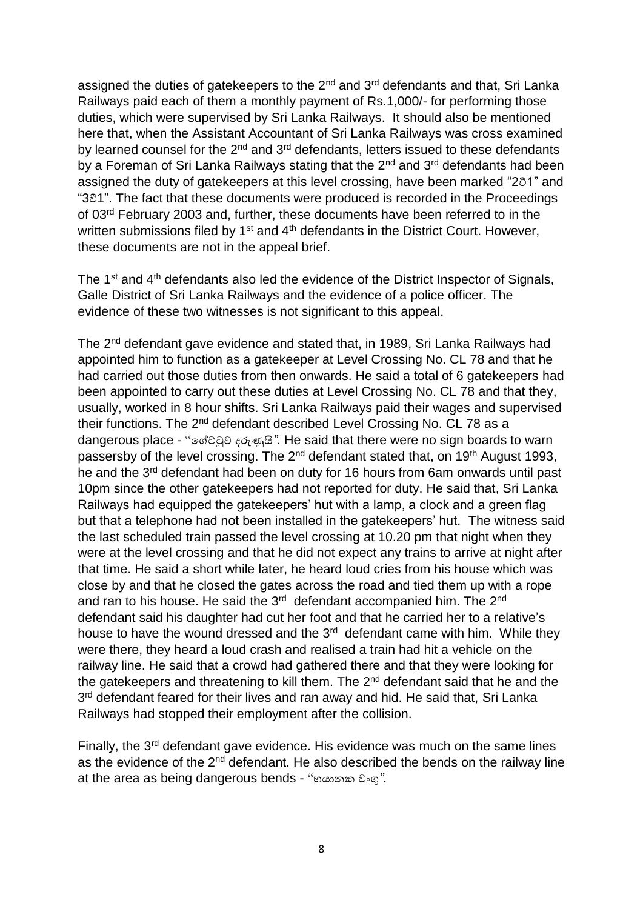assigned the duties of gatekeepers to the 2<sup>nd</sup> and 3<sup>rd</sup> defendants and that, Sri Lanka Railways paid each of them a monthly payment of Rs.1,000/- for performing those duties, which were supervised by Sri Lanka Railways. It should also be mentioned here that, when the Assistant Accountant of Sri Lanka Railways was cross examined by learned counsel for the  $2^{nd}$  and  $3^{rd}$  defendants, letters issued to these defendants by a Foreman of Sri Lanka Railways stating that the  $2^{nd}$  and  $3^{rd}$  defendants had been assigned the duty of gatekeepers at this level crossing, have been marked "2වී1" and "3වී1". The fact that these documents were produced is recorded in the Proceedings of 03rd February 2003 and, further, these documents have been referred to in the written submissions filed by 1<sup>st</sup> and 4<sup>th</sup> defendants in the District Court. However, these documents are not in the appeal brief.

The 1<sup>st</sup> and 4<sup>th</sup> defendants also led the evidence of the District Inspector of Signals, Galle District of Sri Lanka Railways and the evidence of a police officer. The evidence of these two witnesses is not significant to this appeal.

The 2<sup>nd</sup> defendant gave evidence and stated that, in 1989, Sri Lanka Railways had appointed him to function as a gatekeeper at Level Crossing No. CL 78 and that he had carried out those duties from then onwards. He said a total of 6 gatekeepers had been appointed to carry out these duties at Level Crossing No. CL 78 and that they, usually, worked in 8 hour shifts. Sri Lanka Railways paid their wages and supervised their functions. The 2<sup>nd</sup> defendant described Level Crossing No. CL 78 as a dangerous place - "්ේට්ටුව දරුණුයි*".* He said that there were no sign boards to warn passersby of the level crossing. The 2<sup>nd</sup> defendant stated that, on 19<sup>th</sup> August 1993, he and the 3<sup>rd</sup> defendant had been on duty for 16 hours from 6am onwards until past 10pm since the other gatekeepers had not reported for duty. He said that, Sri Lanka Railways had equipped the gatekeepers' hut with a lamp, a clock and a green flag but that a telephone had not been installed in the gatekeepers' hut. The witness said the last scheduled train passed the level crossing at 10.20 pm that night when they were at the level crossing and that he did not expect any trains to arrive at night after that time. He said a short while later, he heard loud cries from his house which was close by and that he closed the gates across the road and tied them up with a rope and ran to his house. He said the 3<sup>rd</sup> defendant accompanied him. The 2<sup>nd</sup> defendant said his daughter had cut her foot and that he carried her to a relative's house to have the wound dressed and the 3<sup>rd</sup> defendant came with him. While they were there, they heard a loud crash and realised a train had hit a vehicle on the railway line. He said that a crowd had gathered there and that they were looking for the gatekeepers and threatening to kill them. The 2<sup>nd</sup> defendant said that he and the 3<sup>rd</sup> defendant feared for their lives and ran away and hid. He said that, Sri Lanka Railways had stopped their employment after the collision.

Finally, the 3<sup>rd</sup> defendant gave evidence. His evidence was much on the same lines as the evidence of the 2<sup>nd</sup> defendant. He also described the bends on the railway line at the area as being dangerous bends - "භයානක වංගු*".*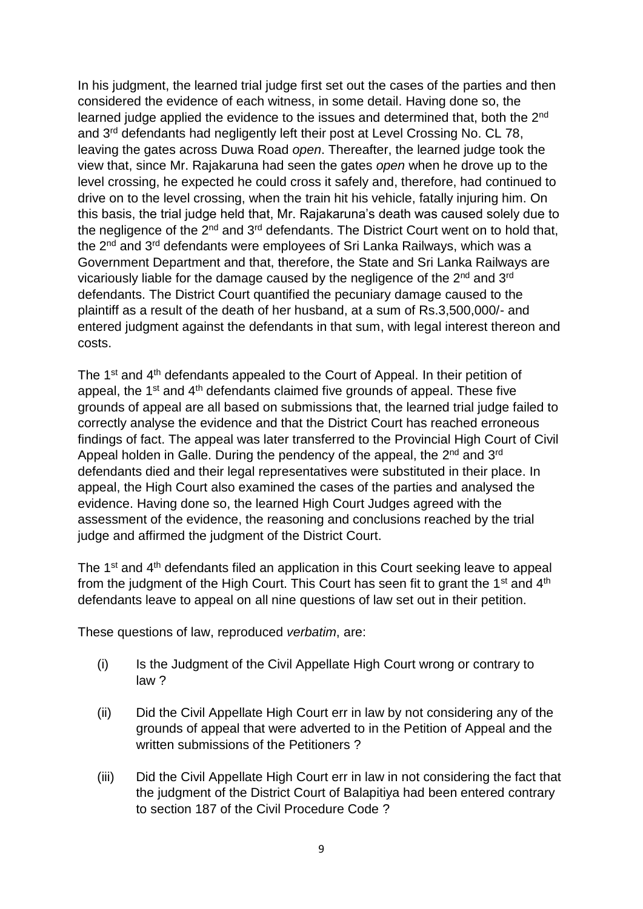In his judgment, the learned trial judge first set out the cases of the parties and then considered the evidence of each witness, in some detail. Having done so, the learned judge applied the evidence to the issues and determined that, both the 2<sup>nd</sup> and 3rd defendants had negligently left their post at Level Crossing No. CL 78, leaving the gates across Duwa Road *open*. Thereafter, the learned judge took the view that, since Mr. Rajakaruna had seen the gates *open* when he drove up to the level crossing, he expected he could cross it safely and, therefore, had continued to drive on to the level crossing, when the train hit his vehicle, fatally injuring him. On this basis, the trial judge held that, Mr. Rajakaruna's death was caused solely due to the negligence of the  $2^{nd}$  and  $3^{rd}$  defendants. The District Court went on to hold that, the 2<sup>nd</sup> and 3<sup>rd</sup> defendants were employees of Sri Lanka Railways, which was a Government Department and that, therefore, the State and Sri Lanka Railways are vicariously liable for the damage caused by the negligence of the 2<sup>nd</sup> and 3<sup>rd</sup> defendants. The District Court quantified the pecuniary damage caused to the plaintiff as a result of the death of her husband, at a sum of Rs.3,500,000/- and entered judgment against the defendants in that sum, with legal interest thereon and costs.

The 1<sup>st</sup> and 4<sup>th</sup> defendants appealed to the Court of Appeal. In their petition of appeal, the 1<sup>st</sup> and 4<sup>th</sup> defendants claimed five grounds of appeal. These five grounds of appeal are all based on submissions that, the learned trial judge failed to correctly analyse the evidence and that the District Court has reached erroneous findings of fact. The appeal was later transferred to the Provincial High Court of Civil Appeal holden in Galle. During the pendency of the appeal, the 2<sup>nd</sup> and 3<sup>rd</sup> defendants died and their legal representatives were substituted in their place. In appeal, the High Court also examined the cases of the parties and analysed the evidence. Having done so, the learned High Court Judges agreed with the assessment of the evidence, the reasoning and conclusions reached by the trial judge and affirmed the judgment of the District Court.

The 1<sup>st</sup> and 4<sup>th</sup> defendants filed an application in this Court seeking leave to appeal from the judgment of the High Court. This Court has seen fit to grant the  $1<sup>st</sup>$  and  $4<sup>th</sup>$ defendants leave to appeal on all nine questions of law set out in their petition.

These questions of law, reproduced *verbatim*, are:

- (i) Is the Judgment of the Civil Appellate High Court wrong or contrary to law ?
- (ii) Did the Civil Appellate High Court err in law by not considering any of the grounds of appeal that were adverted to in the Petition of Appeal and the written submissions of the Petitioners ?
- (iii) Did the Civil Appellate High Court err in law in not considering the fact that the judgment of the District Court of Balapitiya had been entered contrary to section 187 of the Civil Procedure Code ?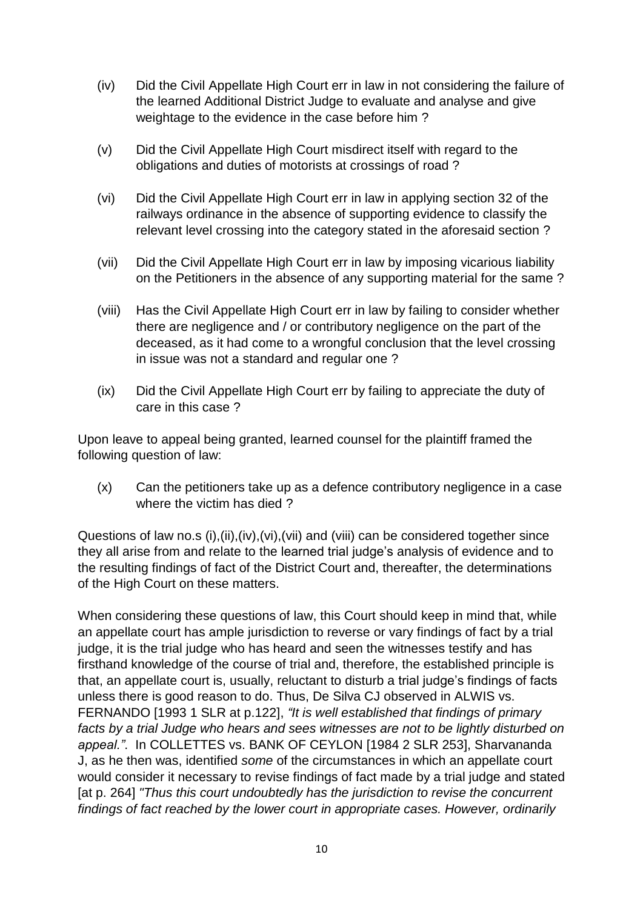- (iv) Did the Civil Appellate High Court err in law in not considering the failure of the learned Additional District Judge to evaluate and analyse and give weightage to the evidence in the case before him ?
- (v) Did the Civil Appellate High Court misdirect itself with regard to the obligations and duties of motorists at crossings of road ?
- (vi) Did the Civil Appellate High Court err in law in applying section 32 of the railways ordinance in the absence of supporting evidence to classify the relevant level crossing into the category stated in the aforesaid section ?
- (vii) Did the Civil Appellate High Court err in law by imposing vicarious liability on the Petitioners in the absence of any supporting material for the same ?
- (viii) Has the Civil Appellate High Court err in law by failing to consider whether there are negligence and / or contributory negligence on the part of the deceased, as it had come to a wrongful conclusion that the level crossing in issue was not a standard and regular one ?
- (ix) Did the Civil Appellate High Court err by failing to appreciate the duty of care in this case ?

Upon leave to appeal being granted, learned counsel for the plaintiff framed the following question of law:

(x) Can the petitioners take up as a defence contributory negligence in a case where the victim has died ?

Questions of law no.s (i),(ii),(iv),(vi),(vii) and (viii) can be considered together since they all arise from and relate to the learned trial judge's analysis of evidence and to the resulting findings of fact of the District Court and, thereafter, the determinations of the High Court on these matters.

When considering these questions of law, this Court should keep in mind that, while an appellate court has ample jurisdiction to reverse or vary findings of fact by a trial judge, it is the trial judge who has heard and seen the witnesses testify and has firsthand knowledge of the course of trial and, therefore, the established principle is that, an appellate court is, usually, reluctant to disturb a trial judge's findings of facts unless there is good reason to do. Thus, De Silva CJ observed in ALWIS vs. FERNANDO [1993 1 SLR at p.122], *"It is well established that findings of primary facts by a trial Judge who hears and sees witnesses are not to be lightly disturbed on appeal."*. In COLLETTES vs. BANK OF CEYLON [1984 2 SLR 253], Sharvananda J, as he then was, identified *some* of the circumstances in which an appellate court would consider it necessary to revise findings of fact made by a trial judge and stated [at p. 264] *"Thus this court undoubtedly has the jurisdiction to revise the concurrent findings of fact reached by the lower court in appropriate cases. However, ordinarily*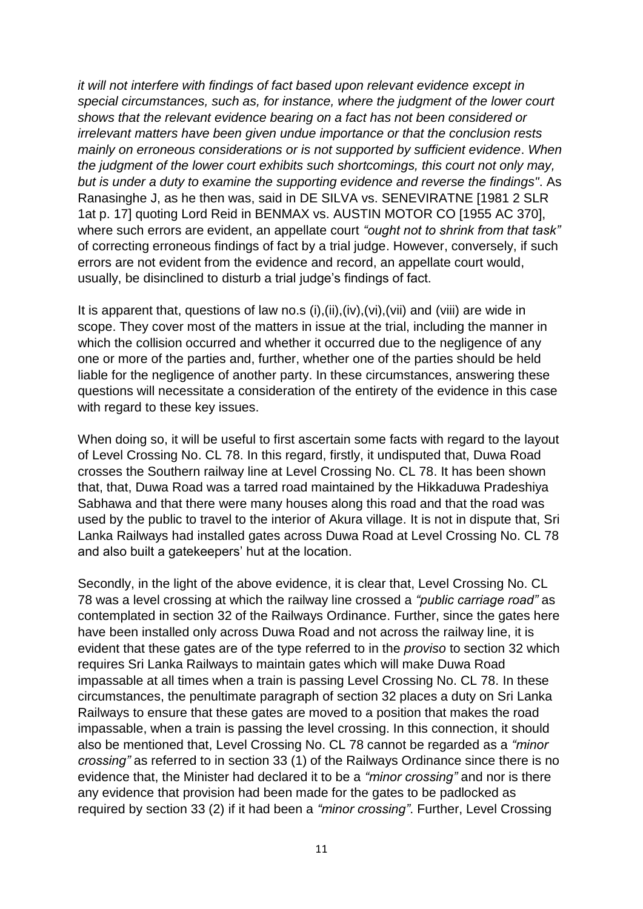*it will not interfere with findings of fact based upon relevant evidence except in special circumstances, such as, for instance, where the judgment of the lower court shows that the relevant evidence bearing on a fact has not been considered or irrelevant matters have been given undue importance or that the conclusion rests mainly on erroneous considerations or is not supported by sufficient evidence*. *When the judgment of the lower court exhibits such shortcomings, this court not only may, but is under a duty to examine the supporting evidence and reverse the findings"*. As Ranasinghe J, as he then was, said in DE SILVA vs. SENEVIRATNE [1981 2 SLR 1at p. 17] quoting Lord Reid in BENMAX vs. AUSTIN MOTOR CO [1955 AC 370], where such errors are evident, an appellate court *"ought not to shrink from that task"* of correcting erroneous findings of fact by a trial judge. However, conversely, if such errors are not evident from the evidence and record, an appellate court would, usually, be disinclined to disturb a trial judge's findings of fact.

It is apparent that, questions of law no.s (i),(ii),(iv),(vi),(vii) and (viii) are wide in scope. They cover most of the matters in issue at the trial, including the manner in which the collision occurred and whether it occurred due to the negligence of any one or more of the parties and, further, whether one of the parties should be held liable for the negligence of another party. In these circumstances, answering these questions will necessitate a consideration of the entirety of the evidence in this case with regard to these key issues.

When doing so, it will be useful to first ascertain some facts with regard to the layout of Level Crossing No. CL 78. In this regard, firstly, it undisputed that, Duwa Road crosses the Southern railway line at Level Crossing No. CL 78. It has been shown that, that, Duwa Road was a tarred road maintained by the Hikkaduwa Pradeshiya Sabhawa and that there were many houses along this road and that the road was used by the public to travel to the interior of Akura village. It is not in dispute that, Sri Lanka Railways had installed gates across Duwa Road at Level Crossing No. CL 78 and also built a gatekeepers' hut at the location.

Secondly, in the light of the above evidence, it is clear that, Level Crossing No. CL 78 was a level crossing at which the railway line crossed a *"public carriage road"* as contemplated in section 32 of the Railways Ordinance. Further, since the gates here have been installed only across Duwa Road and not across the railway line, it is evident that these gates are of the type referred to in the *proviso* to section 32 which requires Sri Lanka Railways to maintain gates which will make Duwa Road impassable at all times when a train is passing Level Crossing No. CL 78. In these circumstances, the penultimate paragraph of section 32 places a duty on Sri Lanka Railways to ensure that these gates are moved to a position that makes the road impassable, when a train is passing the level crossing. In this connection, it should also be mentioned that, Level Crossing No. CL 78 cannot be regarded as a *"minor crossing"* as referred to in section 33 (1) of the Railways Ordinance since there is no evidence that, the Minister had declared it to be a *"minor crossing"* and nor is there any evidence that provision had been made for the gates to be padlocked as required by section 33 (2) if it had been a *"minor crossing"*. Further, Level Crossing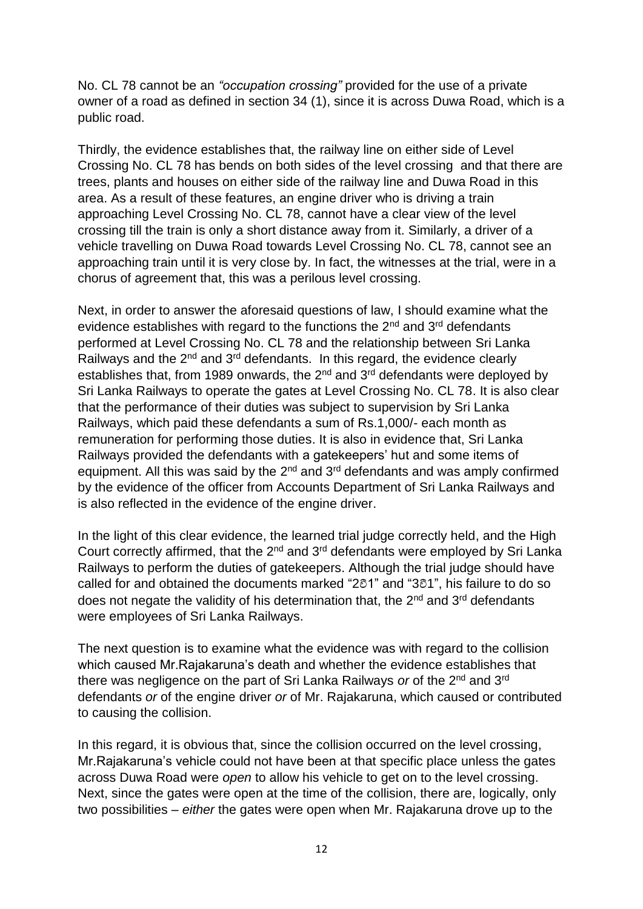No. CL 78 cannot be an *"occupation crossing"* provided for the use of a private owner of a road as defined in section 34 (1), since it is across Duwa Road, which is a public road.

Thirdly, the evidence establishes that, the railway line on either side of Level Crossing No. CL 78 has bends on both sides of the level crossing and that there are trees, plants and houses on either side of the railway line and Duwa Road in this area. As a result of these features, an engine driver who is driving a train approaching Level Crossing No. CL 78, cannot have a clear view of the level crossing till the train is only a short distance away from it. Similarly, a driver of a vehicle travelling on Duwa Road towards Level Crossing No. CL 78, cannot see an approaching train until it is very close by. In fact, the witnesses at the trial, were in a chorus of agreement that, this was a perilous level crossing.

Next, in order to answer the aforesaid questions of law, I should examine what the evidence establishes with regard to the functions the 2<sup>nd</sup> and 3<sup>rd</sup> defendants performed at Level Crossing No. CL 78 and the relationship between Sri Lanka Railways and the  $2^{nd}$  and  $3^{rd}$  defendants. In this regard, the evidence clearly establishes that, from 1989 onwards, the 2<sup>nd</sup> and 3<sup>rd</sup> defendants were deployed by Sri Lanka Railways to operate the gates at Level Crossing No. CL 78. It is also clear that the performance of their duties was subject to supervision by Sri Lanka Railways, which paid these defendants a sum of Rs.1,000/- each month as remuneration for performing those duties. It is also in evidence that, Sri Lanka Railways provided the defendants with a gatekeepers' hut and some items of equipment. All this was said by the  $2<sup>nd</sup>$  and  $3<sup>rd</sup>$  defendants and was amply confirmed by the evidence of the officer from Accounts Department of Sri Lanka Railways and is also reflected in the evidence of the engine driver.

In the light of this clear evidence, the learned trial judge correctly held, and the High Court correctly affirmed, that the  $2^{nd}$  and  $3^{rd}$  defendants were employed by Sri Lanka Railways to perform the duties of gatekeepers. Although the trial judge should have called for and obtained the documents marked "2වී1" and "3වී1", his failure to do so does not negate the validity of his determination that, the 2<sup>nd</sup> and 3<sup>rd</sup> defendants were employees of Sri Lanka Railways.

The next question is to examine what the evidence was with regard to the collision which caused Mr.Rajakaruna's death and whether the evidence establishes that there was negligence on the part of Sri Lanka Railways *or* of the 2nd and 3rd defendants *or* of the engine driver *or* of Mr. Rajakaruna, which caused or contributed to causing the collision.

In this regard, it is obvious that, since the collision occurred on the level crossing, Mr.Rajakaruna's vehicle could not have been at that specific place unless the gates across Duwa Road were *open* to allow his vehicle to get on to the level crossing. Next, since the gates were open at the time of the collision, there are, logically, only two possibilities – *either* the gates were open when Mr. Rajakaruna drove up to the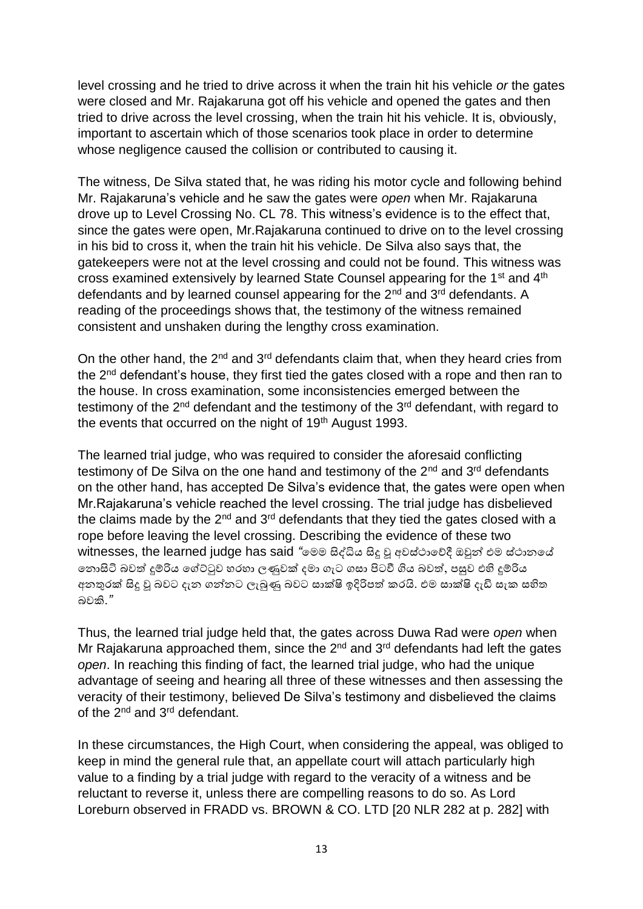level crossing and he tried to drive across it when the train hit his vehicle *or* the gates were closed and Mr. Rajakaruna got off his vehicle and opened the gates and then tried to drive across the level crossing, when the train hit his vehicle. It is, obviously, important to ascertain which of those scenarios took place in order to determine whose negligence caused the collision or contributed to causing it.

The witness, De Silva stated that, he was riding his motor cycle and following behind Mr. Rajakaruna's vehicle and he saw the gates were *open* when Mr. Rajakaruna drove up to Level Crossing No. CL 78. This witness's evidence is to the effect that, since the gates were open, Mr.Rajakaruna continued to drive on to the level crossing in his bid to cross it, when the train hit his vehicle. De Silva also says that, the gatekeepers were not at the level crossing and could not be found. This witness was cross examined extensively by learned State Counsel appearing for the 1st and 4th defendants and by learned counsel appearing for the 2<sup>nd</sup> and 3<sup>rd</sup> defendants. A reading of the proceedings shows that, the testimony of the witness remained consistent and unshaken during the lengthy cross examination.

On the other hand, the  $2^{nd}$  and  $3^{rd}$  defendants claim that, when they heard cries from the 2<sup>nd</sup> defendant's house, they first tied the gates closed with a rope and then ran to the house. In cross examination, some inconsistencies emerged between the testimony of the  $2^{nd}$  defendant and the testimony of the  $3^{rd}$  defendant, with regard to the events that occurred on the night of 19<sup>th</sup> August 1993.

The learned trial judge, who was required to consider the aforesaid conflicting testimony of De Silva on the one hand and testimony of the  $2^{nd}$  and  $3^{rd}$  defendants on the other hand, has accepted De Silva's evidence that, the gates were open when Mr.Rajakaruna's vehicle reached the level crossing. The trial judge has disbelieved the claims made by the  $2<sup>nd</sup>$  and  $3<sup>rd</sup>$  defendants that they tied the gates closed with a rope before leaving the level crossing. Describing the evidence of these two witnesses, the learned judge has said *"*මෙම සිද්ධිය සිදු වූ අවස්ථාවේදී ඔවුන් එම ස්ථානයේ තොසිටි බවත් දුම්රිය ගේට්ටුව හරහා ලණුවක් දමා ගැට ගසා පිටවී ගිය බවත්, පසුව එහි දුම්රිය අනතුරක් සිදු වූ බවට දැන ගන්නට ලැබුණු බවට සාක්ෂි ඉදිරිපත් කරයි. එම සාක්ෂි දැඩි සැක සහිත බවකි.*"*

Thus, the learned trial judge held that, the gates across Duwa Rad were *open* when Mr Rajakaruna approached them, since the  $2<sup>nd</sup>$  and  $3<sup>rd</sup>$  defendants had left the gates *open*. In reaching this finding of fact, the learned trial judge, who had the unique advantage of seeing and hearing all three of these witnesses and then assessing the veracity of their testimony, believed De Silva's testimony and disbelieved the claims of the 2nd and 3rd defendant.

In these circumstances, the High Court, when considering the appeal, was obliged to keep in mind the general rule that, an appellate court will attach particularly high value to a finding by a trial judge with regard to the veracity of a witness and be reluctant to reverse it, unless there are compelling reasons to do so. As Lord Loreburn observed in FRADD vs. BROWN & CO. LTD [20 NLR 282 at p. 282] with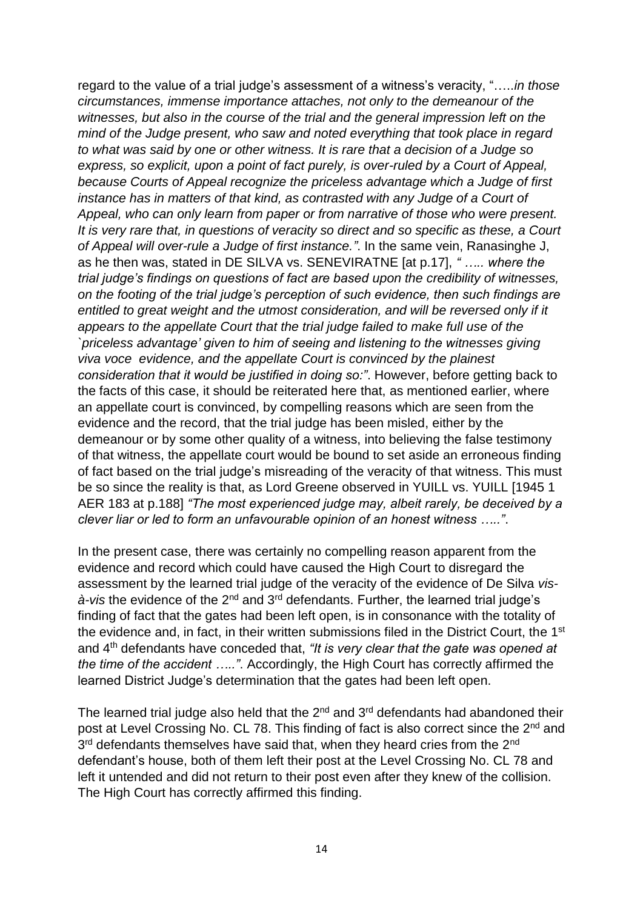regard to the value of a trial judge's assessment of a witness's veracity, "…..*in those circumstances, immense importance attaches, not only to the demeanour of the witnesses, but also in the course of the trial and the general impression left on the mind of the Judge present, who saw and noted everything that took place in regard to what was said by one or other witness. It is rare that a decision of a Judge so express, so explicit, upon a point of fact purely, is over-ruled by a Court of Appeal, because Courts of Appeal recognize the priceless advantage which a Judge of first instance has in matters of that kind, as contrasted with any Judge of a Court of Appeal, who can only learn from paper or from narrative of those who were present. It is very rare that, in questions of veracity so direct and so specific as these, a Court of Appeal will over-rule a Judge of first instance."*. In the same vein, Ranasinghe J, as he then was, stated in DE SILVA vs. SENEVIRATNE [at p.17], *" ….. where the trial judge's findings on questions of fact are based upon the credibility of witnesses, on the footing of the trial judge's perception of such evidence, then such findings are*  entitled to great weight and the utmost consideration, and will be reversed only if it *appears to the appellate Court that the trial judge failed to make full use of the `priceless advantage' given to him of seeing and listening to the witnesses giving viva voce evidence, and the appellate Court is convinced by the plainest consideration that it would be justified in doing so:"*. However, before getting back to the facts of this case, it should be reiterated here that, as mentioned earlier, where an appellate court is convinced, by compelling reasons which are seen from the evidence and the record, that the trial judge has been misled, either by the demeanour or by some other quality of a witness, into believing the false testimony of that witness, the appellate court would be bound to set aside an erroneous finding of fact based on the trial judge's misreading of the veracity of that witness. This must be so since the reality is that, as Lord Greene observed in YUILL vs. YUILL [1945 1 AER 183 at p.188] *"The most experienced judge may, albeit rarely, be deceived by a clever liar or led to form an unfavourable opinion of an honest witness ….."*.

In the present case, there was certainly no compelling reason apparent from the evidence and record which could have caused the High Court to disregard the assessment by the learned trial judge of the veracity of the evidence of De Silva *visà-vis* the evidence of the 2nd and 3rd defendants. Further, the learned trial judge's finding of fact that the gates had been left open, is in consonance with the totality of the evidence and, in fact, in their written submissions filed in the District Court, the 1<sup>st</sup> and 4th defendants have conceded that, *"It is very clear that the gate was opened at the time of the accident ….."*. Accordingly, the High Court has correctly affirmed the learned District Judge's determination that the gates had been left open.

The learned trial judge also held that the  $2<sup>nd</sup>$  and  $3<sup>rd</sup>$  defendants had abandoned their post at Level Crossing No. CL 78. This finding of fact is also correct since the 2<sup>nd</sup> and 3<sup>rd</sup> defendants themselves have said that, when they heard cries from the 2<sup>nd</sup> defendant's house, both of them left their post at the Level Crossing No. CL 78 and left it untended and did not return to their post even after they knew of the collision. The High Court has correctly affirmed this finding.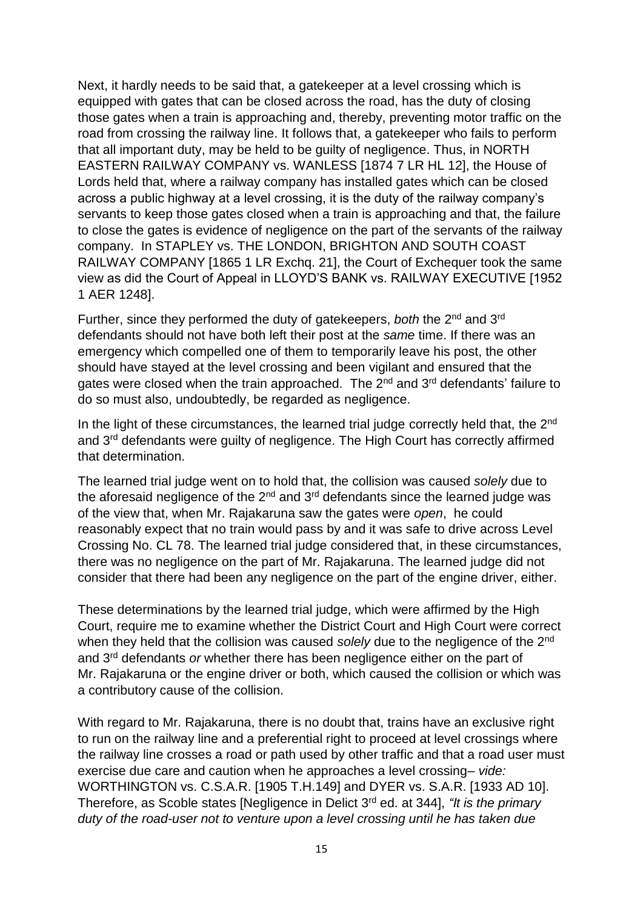Next, it hardly needs to be said that, a gatekeeper at a level crossing which is equipped with gates that can be closed across the road, has the duty of closing those gates when a train is approaching and, thereby, preventing motor traffic on the road from crossing the railway line. It follows that, a gatekeeper who fails to perform that all important duty, may be held to be guilty of negligence. Thus, in NORTH EASTERN RAILWAY COMPANY vs. WANLESS [1874 7 LR HL 12], the House of Lords held that, where a railway company has installed gates which can be closed across a public highway at a level crossing, it is the duty of the railway company's servants to keep those gates closed when a train is approaching and that, the failure to close the gates is evidence of negligence on the part of the servants of the railway company. In STAPLEY vs. THE LONDON, BRIGHTON AND SOUTH COAST RAILWAY COMPANY [1865 1 LR Exchq. 21], the Court of Exchequer took the same view as did the Court of Appeal in LLOYD'S BANK vs. RAILWAY EXECUTIVE [1952 1 AER 1248].

Further, since they performed the duty of gatekeepers, *both* the 2nd and 3rd defendants should not have both left their post at the *same* time. If there was an emergency which compelled one of them to temporarily leave his post, the other should have stayed at the level crossing and been vigilant and ensured that the gates were closed when the train approached. The  $2<sup>nd</sup>$  and  $3<sup>rd</sup>$  defendants' failure to do so must also, undoubtedly, be regarded as negligence.

In the light of these circumstances, the learned trial judge correctly held that, the 2<sup>nd</sup> and 3rd defendants were guilty of negligence. The High Court has correctly affirmed that determination.

The learned trial judge went on to hold that, the collision was caused *solely* due to the aforesaid negligence of the  $2<sup>nd</sup>$  and  $3<sup>rd</sup>$  defendants since the learned judge was of the view that, when Mr. Rajakaruna saw the gates were *open*, he could reasonably expect that no train would pass by and it was safe to drive across Level Crossing No. CL 78. The learned trial judge considered that, in these circumstances, there was no negligence on the part of Mr. Rajakaruna. The learned judge did not consider that there had been any negligence on the part of the engine driver, either.

These determinations by the learned trial judge, which were affirmed by the High Court, require me to examine whether the District Court and High Court were correct when they held that the collision was caused *solely* due to the negligence of the 2<sup>nd</sup> and 3rd defendants *or* whether there has been negligence either on the part of Mr. Rajakaruna or the engine driver or both, which caused the collision or which was a contributory cause of the collision.

With regard to Mr. Rajakaruna, there is no doubt that, trains have an exclusive right to run on the railway line and a preferential right to proceed at level crossings where the railway line crosses a road or path used by other traffic and that a road user must exercise due care and caution when he approaches a level crossing– *vide:* WORTHINGTON vs. C.S.A.R. [1905 T.H.149] and DYER vs. S.A.R. [1933 AD 10]. Therefore, as Scoble states [Negligence in Delict 3rd ed. at 344], *"It is the primary duty of the road-user not to venture upon a level crossing until he has taken due*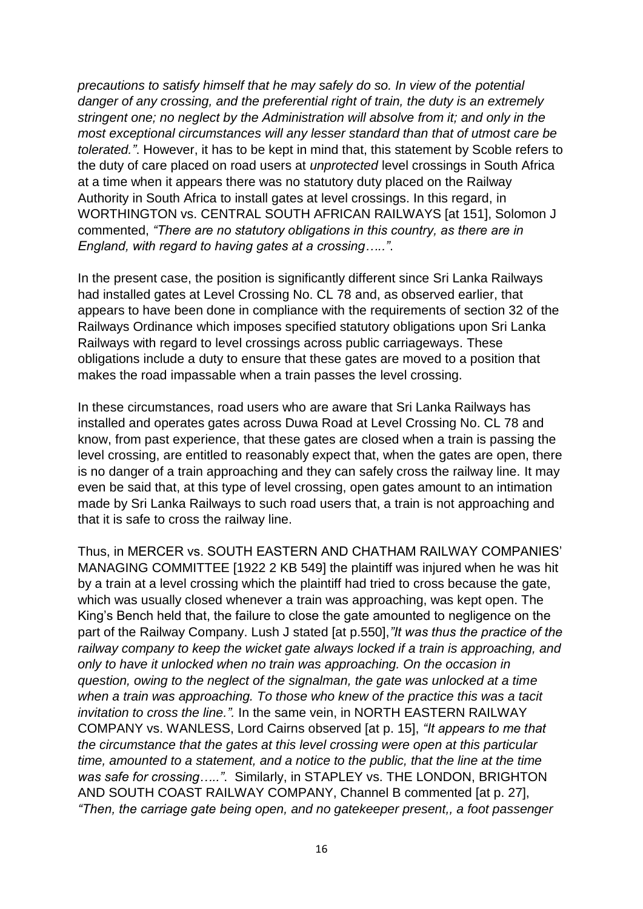*precautions to satisfy himself that he may safely do so. In view of the potential danger of any crossing, and the preferential right of train, the duty is an extremely stringent one; no neglect by the Administration will absolve from it; and only in the most exceptional circumstances will any lesser standard than that of utmost care be tolerated."*. However, it has to be kept in mind that, this statement by Scoble refers to the duty of care placed on road users at *unprotected* level crossings in South Africa at a time when it appears there was no statutory duty placed on the Railway Authority in South Africa to install gates at level crossings. In this regard, in WORTHINGTON vs. CENTRAL SOUTH AFRICAN RAILWAYS [at 151], Solomon J commented, *"There are no statutory obligations in this country, as there are in England, with regard to having gates at a crossing….."*.

In the present case, the position is significantly different since Sri Lanka Railways had installed gates at Level Crossing No. CL 78 and, as observed earlier, that appears to have been done in compliance with the requirements of section 32 of the Railways Ordinance which imposes specified statutory obligations upon Sri Lanka Railways with regard to level crossings across public carriageways. These obligations include a duty to ensure that these gates are moved to a position that makes the road impassable when a train passes the level crossing.

In these circumstances, road users who are aware that Sri Lanka Railways has installed and operates gates across Duwa Road at Level Crossing No. CL 78 and know, from past experience, that these gates are closed when a train is passing the level crossing, are entitled to reasonably expect that, when the gates are open, there is no danger of a train approaching and they can safely cross the railway line. It may even be said that, at this type of level crossing, open gates amount to an intimation made by Sri Lanka Railways to such road users that, a train is not approaching and that it is safe to cross the railway line.

Thus, in MERCER vs. SOUTH EASTERN AND CHATHAM RAILWAY COMPANIES' MANAGING COMMITTEE [1922 2 KB 549] the plaintiff was injured when he was hit by a train at a level crossing which the plaintiff had tried to cross because the gate, which was usually closed whenever a train was approaching, was kept open. The King's Bench held that, the failure to close the gate amounted to negligence on the part of the Railway Company. Lush J stated [at p.550],*"It was thus the practice of the railway company to keep the wicket gate always locked if a train is approaching, and only to have it unlocked when no train was approaching. On the occasion in question, owing to the neglect of the signalman, the gate was unlocked at a time when a train was approaching. To those who knew of the practice this was a tacit invitation to cross the line.".* In the same vein, in NORTH EASTERN RAILWAY COMPANY vs. WANLESS, Lord Cairns observed [at p. 15], *"It appears to me that the circumstance that the gates at this level crossing were open at this particular time, amounted to a statement, and a notice to the public, that the line at the time was safe for crossing….."*. Similarly, in STAPLEY vs. THE LONDON, BRIGHTON AND SOUTH COAST RAILWAY COMPANY, Channel B commented [at p. 27], *"Then, the carriage gate being open, and no gatekeeper present,, a foot passenger*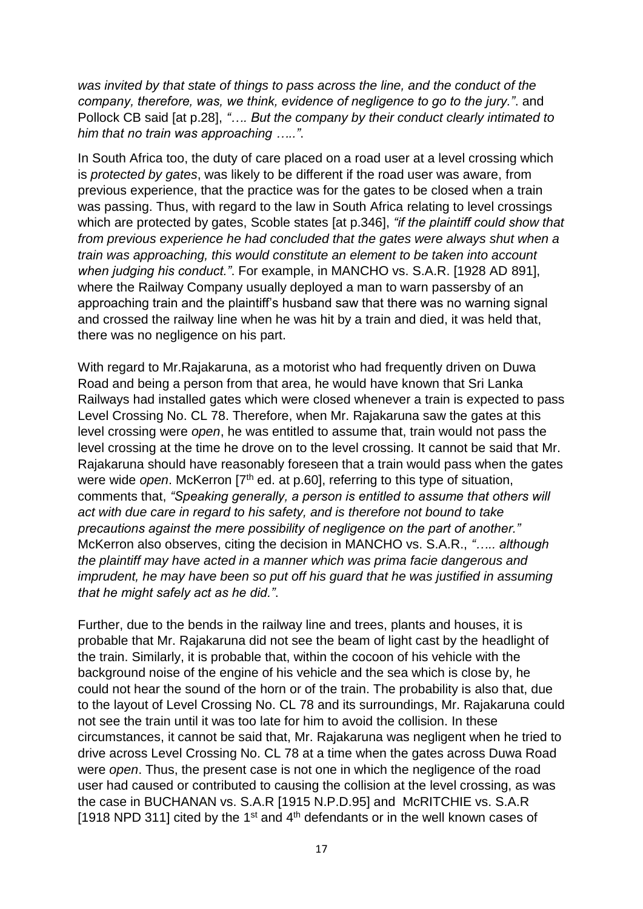*was invited by that state of things to pass across the line, and the conduct of the company, therefore, was, we think, evidence of negligence to go to the jury."*. and Pollock CB said [at p.28], *"…. But the company by their conduct clearly intimated to him that no train was approaching ….."*.

In South Africa too, the duty of care placed on a road user at a level crossing which is *protected by gates*, was likely to be different if the road user was aware, from previous experience, that the practice was for the gates to be closed when a train was passing. Thus, with regard to the law in South Africa relating to level crossings which are protected by gates, Scoble states [at p.346], *"if the plaintiff could show that from previous experience he had concluded that the gates were always shut when a train was approaching, this would constitute an element to be taken into account when judging his conduct."*. For example, in MANCHO vs. S.A.R. [1928 AD 891], where the Railway Company usually deployed a man to warn passersby of an approaching train and the plaintiff's husband saw that there was no warning signal and crossed the railway line when he was hit by a train and died, it was held that, there was no negligence on his part.

With regard to Mr.Rajakaruna, as a motorist who had frequently driven on Duwa Road and being a person from that area, he would have known that Sri Lanka Railways had installed gates which were closed whenever a train is expected to pass Level Crossing No. CL 78. Therefore, when Mr. Rajakaruna saw the gates at this level crossing were *open*, he was entitled to assume that, train would not pass the level crossing at the time he drove on to the level crossing. It cannot be said that Mr. Rajakaruna should have reasonably foreseen that a train would pass when the gates were wide *open*. McKerron [7<sup>th</sup> ed. at p.60], referring to this type of situation, comments that, *"Speaking generally, a person is entitled to assume that others will act with due care in regard to his safety, and is therefore not bound to take precautions against the mere possibility of negligence on the part of another."*  McKerron also observes, citing the decision in MANCHO vs. S.A.R., *"….. although the plaintiff may have acted in a manner which was prima facie dangerous and imprudent, he may have been so put off his quard that he was justified in assuming that he might safely act as he did."*.

Further, due to the bends in the railway line and trees, plants and houses, it is probable that Mr. Rajakaruna did not see the beam of light cast by the headlight of the train. Similarly, it is probable that, within the cocoon of his vehicle with the background noise of the engine of his vehicle and the sea which is close by, he could not hear the sound of the horn or of the train. The probability is also that, due to the layout of Level Crossing No. CL 78 and its surroundings, Mr. Rajakaruna could not see the train until it was too late for him to avoid the collision. In these circumstances, it cannot be said that, Mr. Rajakaruna was negligent when he tried to drive across Level Crossing No. CL 78 at a time when the gates across Duwa Road were *open*. Thus, the present case is not one in which the negligence of the road user had caused or contributed to causing the collision at the level crossing, as was the case in BUCHANAN vs. S.A.R [1915 N.P.D.95] and McRITCHIE vs. S.A.R [1918 NPD 311] cited by the 1<sup>st</sup> and 4<sup>th</sup> defendants or in the well known cases of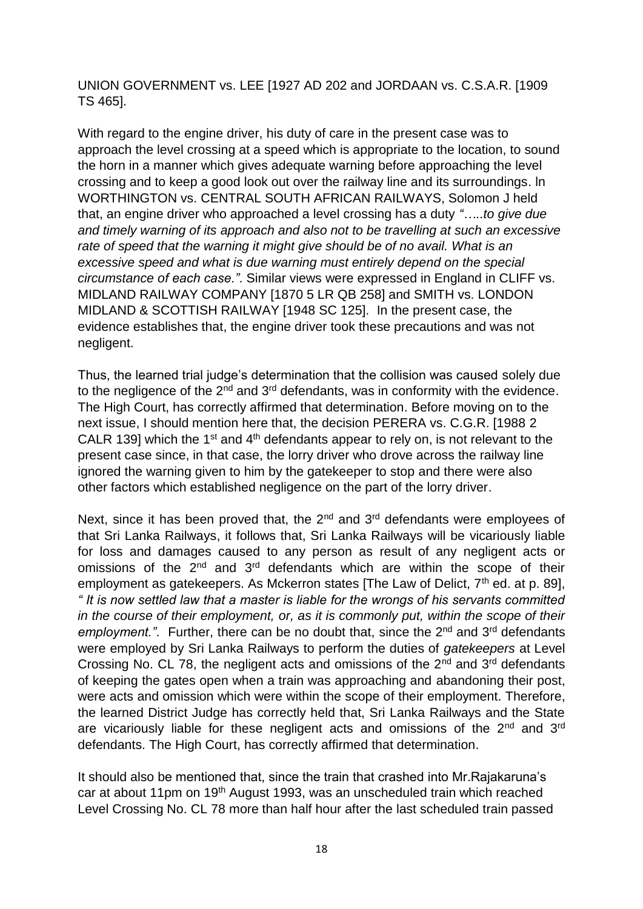UNION GOVERNMENT vs. LEE [1927 AD 202 and JORDAAN vs. C.S.A.R. [1909 TS 465].

With regard to the engine driver, his duty of care in the present case was to approach the level crossing at a speed which is appropriate to the location, to sound the horn in a manner which gives adequate warning before approaching the level crossing and to keep a good look out over the railway line and its surroundings. ln WORTHINGTON vs. CENTRAL SOUTH AFRICAN RAILWAYS, Solomon J held that, an engine driver who approached a level crossing has a duty *"…..to give due and timely warning of its approach and also not to be travelling at such an excessive*  rate of speed that the warning it might give should be of no avail. What is an *excessive speed and what is due warning must entirely depend on the special circumstance of each case."*. Similar views were expressed in England in CLIFF vs. MIDLAND RAILWAY COMPANY [1870 5 LR QB 258] and SMITH vs. LONDON MIDLAND & SCOTTISH RAILWAY [1948 SC 125]. In the present case, the evidence establishes that, the engine driver took these precautions and was not negligent.

Thus, the learned trial judge's determination that the collision was caused solely due to the negligence of the  $2<sup>nd</sup>$  and  $3<sup>rd</sup>$  defendants, was in conformity with the evidence. The High Court, has correctly affirmed that determination. Before moving on to the next issue, I should mention here that, the decision PERERA vs. C.G.R. [1988 2 CALR 139] which the 1<sup>st</sup> and  $4<sup>th</sup>$  defendants appear to rely on, is not relevant to the present case since, in that case, the lorry driver who drove across the railway line ignored the warning given to him by the gatekeeper to stop and there were also other factors which established negligence on the part of the lorry driver.

Next, since it has been proved that, the 2<sup>nd</sup> and 3<sup>rd</sup> defendants were employees of that Sri Lanka Railways, it follows that, Sri Lanka Railways will be vicariously liable for loss and damages caused to any person as result of any negligent acts or omissions of the  $2<sup>nd</sup>$  and  $3<sup>rd</sup>$  defendants which are within the scope of their employment as gatekeepers. As Mckerron states [The Law of Delict,  $7<sup>th</sup>$  ed. at p. 89], *" It is now settled law that a master is liable for the wrongs of his servants committed in the course of their employment, or, as it is commonly put, within the scope of their*  employment.". Further, there can be no doubt that, since the 2<sup>nd</sup> and 3<sup>rd</sup> defendants were employed by Sri Lanka Railways to perform the duties of *gatekeepers* at Level Crossing No. CL 78, the negligent acts and omissions of the  $2^{nd}$  and  $3^{rd}$  defendants of keeping the gates open when a train was approaching and abandoning their post, were acts and omission which were within the scope of their employment. Therefore, the learned District Judge has correctly held that, Sri Lanka Railways and the State are vicariously liable for these negligent acts and omissions of the 2<sup>nd</sup> and 3<sup>rd</sup> defendants. The High Court, has correctly affirmed that determination.

It should also be mentioned that, since the train that crashed into Mr.Rajakaruna's car at about 11pm on 19<sup>th</sup> August 1993, was an unscheduled train which reached Level Crossing No. CL 78 more than half hour after the last scheduled train passed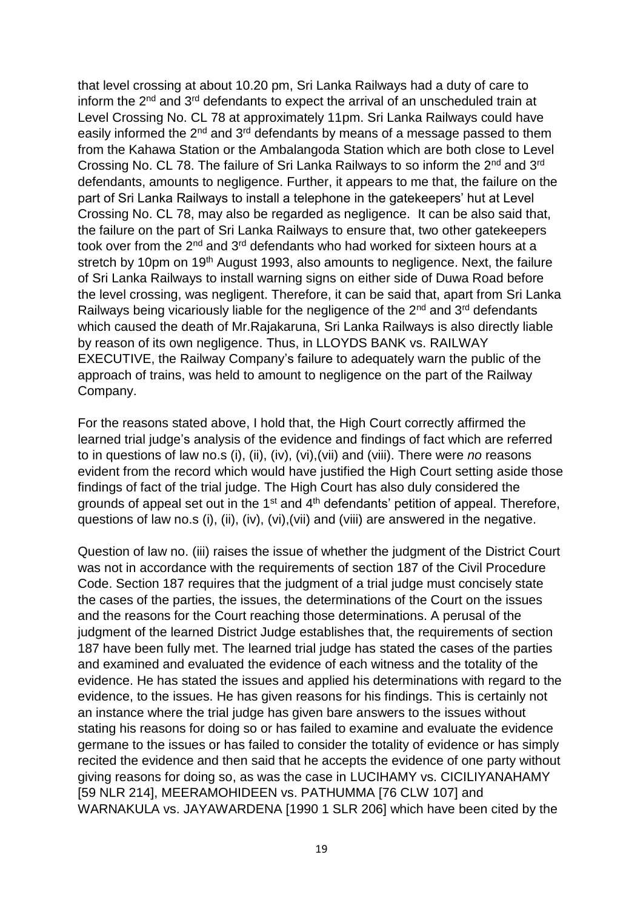that level crossing at about 10.20 pm, Sri Lanka Railways had a duty of care to inform the  $2^{nd}$  and  $3^{rd}$  defendants to expect the arrival of an unscheduled train at Level Crossing No. CL 78 at approximately 11pm. Sri Lanka Railways could have easily informed the 2<sup>nd</sup> and 3<sup>rd</sup> defendants by means of a message passed to them from the Kahawa Station or the Ambalangoda Station which are both close to Level Crossing No. CL 78. The failure of Sri Lanka Railways to so inform the 2<sup>nd</sup> and 3<sup>rd</sup> defendants, amounts to negligence. Further, it appears to me that, the failure on the part of Sri Lanka Railways to install a telephone in the gatekeepers' hut at Level Crossing No. CL 78, may also be regarded as negligence. It can be also said that, the failure on the part of Sri Lanka Railways to ensure that, two other gatekeepers took over from the 2<sup>nd</sup> and 3<sup>rd</sup> defendants who had worked for sixteen hours at a stretch by 10pm on 19<sup>th</sup> August 1993, also amounts to negligence. Next, the failure of Sri Lanka Railways to install warning signs on either side of Duwa Road before the level crossing, was negligent. Therefore, it can be said that, apart from Sri Lanka Railways being vicariously liable for the negligence of the 2<sup>nd</sup> and 3<sup>rd</sup> defendants which caused the death of Mr.Rajakaruna, Sri Lanka Railways is also directly liable by reason of its own negligence. Thus, in LLOYDS BANK vs. RAILWAY EXECUTIVE, the Railway Company's failure to adequately warn the public of the approach of trains, was held to amount to negligence on the part of the Railway Company.

For the reasons stated above, I hold that, the High Court correctly affirmed the learned trial judge's analysis of the evidence and findings of fact which are referred to in questions of law no.s (i), (ii), (iv), (vi),(vii) and (viii). There were *no* reasons evident from the record which would have justified the High Court setting aside those findings of fact of the trial judge. The High Court has also duly considered the grounds of appeal set out in the 1<sup>st</sup> and 4<sup>th</sup> defendants' petition of appeal. Therefore, questions of law no.s (i), (ii), (iv), (vi),(vii) and (viii) are answered in the negative.

Question of law no. (iii) raises the issue of whether the judgment of the District Court was not in accordance with the requirements of section 187 of the Civil Procedure Code. Section 187 requires that the judgment of a trial judge must concisely state the cases of the parties, the issues, the determinations of the Court on the issues and the reasons for the Court reaching those determinations. A perusal of the judgment of the learned District Judge establishes that, the requirements of section 187 have been fully met. The learned trial judge has stated the cases of the parties and examined and evaluated the evidence of each witness and the totality of the evidence. He has stated the issues and applied his determinations with regard to the evidence, to the issues. He has given reasons for his findings. This is certainly not an instance where the trial judge has given bare answers to the issues without stating his reasons for doing so or has failed to examine and evaluate the evidence germane to the issues or has failed to consider the totality of evidence or has simply recited the evidence and then said that he accepts the evidence of one party without giving reasons for doing so, as was the case in LUCIHAMY vs. CICILIYANAHAMY [59 NLR 214], MEERAMOHIDEEN vs. PATHUMMA [76 CLW 107] and WARNAKULA vs. JAYAWARDENA [1990 1 SLR 206] which have been cited by the